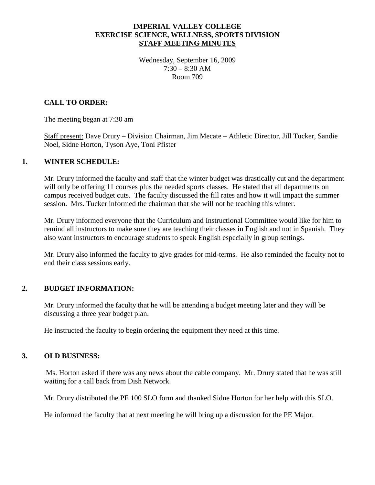### **IMPERIAL VALLEY COLLEGE EXERCISE SCIENCE, WELLNESS, SPORTS DIVISION STAFF MEETING MINUTES**

Wednesday, September 16, 2009  $7:30 - 8:30$  AM Room 709

## **CALL TO ORDER:**

The meeting began at 7:30 am

Staff present: Dave Drury – Division Chairman, Jim Mecate – Athletic Director, Jill Tucker, Sandie Noel, Sidne Horton, Tyson Aye, Toni Pfister

#### **1. WINTER SCHEDULE:**

Mr. Drury informed the faculty and staff that the winter budget was drastically cut and the department will only be offering 11 courses plus the needed sports classes. He stated that all departments on campus received budget cuts. The faculty discussed the fill rates and how it will impact the summer session. Mrs. Tucker informed the chairman that she will not be teaching this winter.

Mr. Drury informed everyone that the Curriculum and Instructional Committee would like for him to remind all instructors to make sure they are teaching their classes in English and not in Spanish. They also want instructors to encourage students to speak English especially in group settings.

Mr. Drury also informed the faculty to give grades for mid-terms. He also reminded the faculty not to end their class sessions early.

# **2. BUDGET INFORMATION:**

Mr. Drury informed the faculty that he will be attending a budget meeting later and they will be discussing a three year budget plan.

He instructed the faculty to begin ordering the equipment they need at this time.

#### **3. OLD BUSINESS:**

Ms. Horton asked if there was any news about the cable company. Mr. Drury stated that he was still waiting for a call back from Dish Network.

Mr. Drury distributed the PE 100 SLO form and thanked Sidne Horton for her help with this SLO.

He informed the faculty that at next meeting he will bring up a discussion for the PE Major.